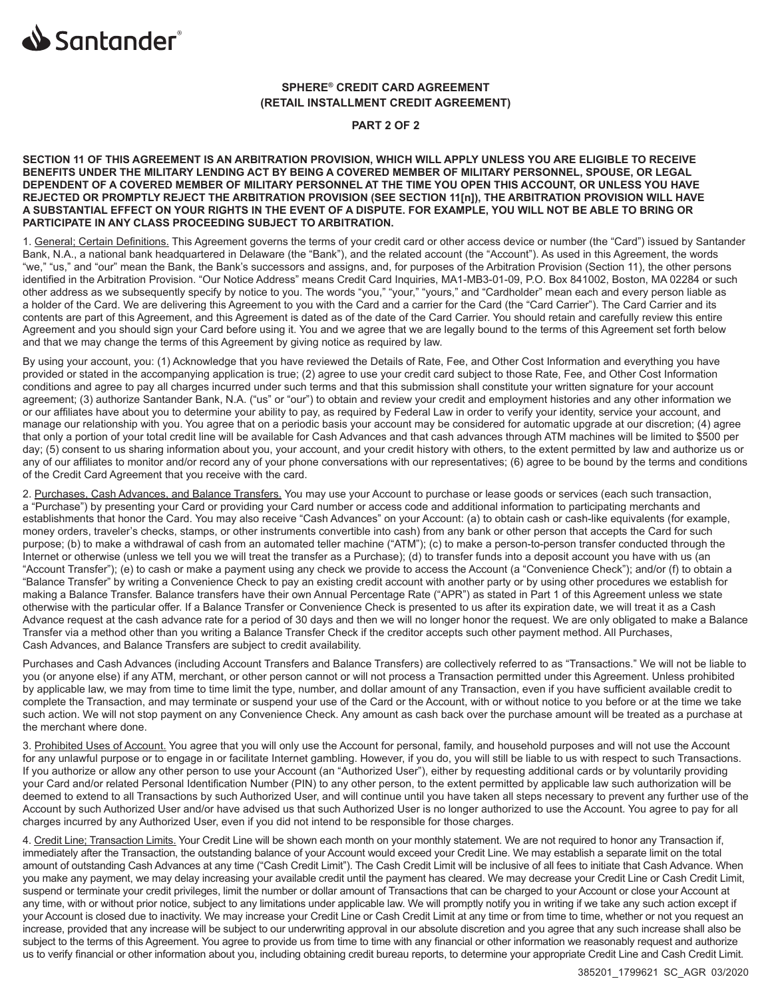

# **SPHERE® CREDIT CARD AGREEMENT (RETAIL INSTALLMENT CREDIT AGREEMENT)**

**PART 2 OF 2**

**SECTION 11 OF THIS AGREEMENT IS AN ARBITRATION PROVISION, WHICH WILL APPLY UNLESS YOU ARE ELIGIBLE TO RECEIVE BENEFITS UNDER THE MILITARY LENDING ACT BY BEING A COVERED MEMBER OF MILITARY PERSONNEL, SPOUSE, OR LEGAL DEPENDENT OF A COVERED MEMBER OF MILITARY PERSONNEL AT THE TIME YOU OPEN THIS ACCOUNT, OR UNLESS YOU HAVE REJECTED OR PROMPTLY REJECT THE ARBITRATION PROVISION (SEE SECTION 11[n]), THE ARBITRATION PROVISION WILL HAVE A SUBSTANTIAL EFFECT ON YOUR RIGHTS IN THE EVENT OF A DISPUTE. FOR EXAMPLE, YOU WILL NOT BE ABLE TO BRING OR PARTICIPATE IN ANY CLASS PROCEEDING SUBJECT TO ARBITRATION.**

1. General; Certain Definitions. This Agreement governs the terms of your credit card or other access device or number (the "Card") issued by Santander Bank, N.A., a national bank headquartered in Delaware (the "Bank"), and the related account (the "Account"). As used in this Agreement, the words "we," "us," and "our" mean the Bank, the Bank's successors and assigns, and, for purposes of the Arbitration Provision (Section 11), the other persons identified in the Arbitration Provision. "Our Notice Address" means Credit Card Inquiries, MA1-MB3-01-09, P.O. Box 841002, Boston, MA 02284 or such other address as we subsequently specify by notice to you. The words "you," "your," "yours," and "Cardholder" mean each and every person liable as a holder of the Card. We are delivering this Agreement to you with the Card and a carrier for the Card (the "Card Carrier"). The Card Carrier and its contents are part of this Agreement, and this Agreement is dated as of the date of the Card Carrier. You should retain and carefully review this entire Agreement and you should sign your Card before using it. You and we agree that we are legally bound to the terms of this Agreement set forth below and that we may change the terms of this Agreement by giving notice as required by law.

By using your account, you: (1) Acknowledge that you have reviewed the Details of Rate, Fee, and Other Cost Information and everything you have provided or stated in the accompanying application is true; (2) agree to use your credit card subject to those Rate, Fee, and Other Cost Information conditions and agree to pay all charges incurred under such terms and that this submission shall constitute your written signature for your account agreement; (3) authorize Santander Bank, N.A. ("us" or "our") to obtain and review your credit and employment histories and any other information we or our affiliates have about you to determine your ability to pay, as required by Federal Law in order to verify your identity, service your account, and manage our relationship with you. You agree that on a periodic basis your account may be considered for automatic upgrade at our discretion; (4) agree that only a portion of your total credit line will be available for Cash Advances and that cash advances through ATM machines will be limited to \$500 per day; (5) consent to us sharing information about you, your account, and your credit history with others, to the extent permitted by law and authorize us or any of our affiliates to monitor and/or record any of your phone conversations with our representatives; (6) agree to be bound by the terms and conditions of the Credit Card Agreement that you receive with the card.

2. Purchases, Cash Advances, and Balance Transfers. You may use your Account to purchase or lease goods or services (each such transaction, a "Purchase") by presenting your Card or providing your Card number or access code and additional information to participating merchants and establishments that honor the Card. You may also receive "Cash Advances" on your Account: (a) to obtain cash or cash-like equivalents (for example, money orders, traveler's checks, stamps, or other instruments convertible into cash) from any bank or other person that accepts the Card for such purpose; (b) to make a withdrawal of cash from an automated teller machine ("ATM"); (c) to make a person-to-person transfer conducted through the Internet or otherwise (unless we tell you we will treat the transfer as a Purchase); (d) to transfer funds into a deposit account you have with us (an "Account Transfer"); (e) to cash or make a payment using any check we provide to access the Account (a "Convenience Check"); and/or (f) to obtain a "Balance Transfer" by writing a Convenience Check to pay an existing credit account with another party or by using other procedures we establish for making a Balance Transfer. Balance transfers have their own Annual Percentage Rate ("APR") as stated in Part 1 of this Agreement unless we state otherwise with the particular offer. If a Balance Transfer or Convenience Check is presented to us after its expiration date, we will treat it as a Cash Advance request at the cash advance rate for a period of 30 days and then we will no longer honor the request. We are only obligated to make a Balance Transfer via a method other than you writing a Balance Transfer Check if the creditor accepts such other payment method. All Purchases, Cash Advances, and Balance Transfers are subject to credit availability.

Purchases and Cash Advances (including Account Transfers and Balance Transfers) are collectively referred to as "Transactions." We will not be liable to you (or anyone else) if any ATM, merchant, or other person cannot or will not process a Transaction permitted under this Agreement. Unless prohibited by applicable law, we may from time to time limit the type, number, and dollar amount of any Transaction, even if you have sufficient available credit to complete the Transaction, and may terminate or suspend your use of the Card or the Account, with or without notice to you before or at the time we take such action. We will not stop payment on any Convenience Check. Any amount as cash back over the purchase amount will be treated as a purchase at the merchant where done.

3. Prohibited Uses of Account. You agree that you will only use the Account for personal, family, and household purposes and will not use the Account for any unlawful purpose or to engage in or facilitate Internet gambling. However, if you do, you will still be liable to us with respect to such Transactions. If you authorize or allow any other person to use your Account (an "Authorized User"), either by requesting additional cards or by voluntarily providing your Card and/or related Personal Identification Number (PIN) to any other person, to the extent permitted by applicable law such authorization will be deemed to extend to all Transactions by such Authorized User, and will continue until you have taken all steps necessary to prevent any further use of the Account by such Authorized User and/or have advised us that such Authorized User is no longer authorized to use the Account. You agree to pay for all charges incurred by any Authorized User, even if you did not intend to be responsible for those charges.

4. Credit Line; Transaction Limits. Your Credit Line will be shown each month on your monthly statement. We are not required to honor any Transaction if, immediately after the Transaction, the outstanding balance of your Account would exceed your Credit Line. We may establish a separate limit on the total amount of outstanding Cash Advances at any time ("Cash Credit Limit"). The Cash Credit Limit will be inclusive of all fees to initiate that Cash Advance. When you make any payment, we may delay increasing your available credit until the payment has cleared. We may decrease your Credit Line or Cash Credit Limit, suspend or terminate your credit privileges, limit the number or dollar amount of Transactions that can be charged to your Account or close your Account at any time, with or without prior notice, subject to any limitations under applicable law. We will promptly notify you in writing if we take any such action except if your Account is closed due to inactivity. We may increase your Credit Line or Cash Credit Limit at any time or from time to time, whether or not you request an increase, provided that any increase will be subject to our underwriting approval in our absolute discretion and you agree that any such increase shall also be subject to the terms of this Agreement. You agree to provide us from time to time with any financial or other information we reasonably request and authorize us to verify financial or other information about you, including obtaining credit bureau reports, to determine your appropriate Credit Line and Cash Credit Limit.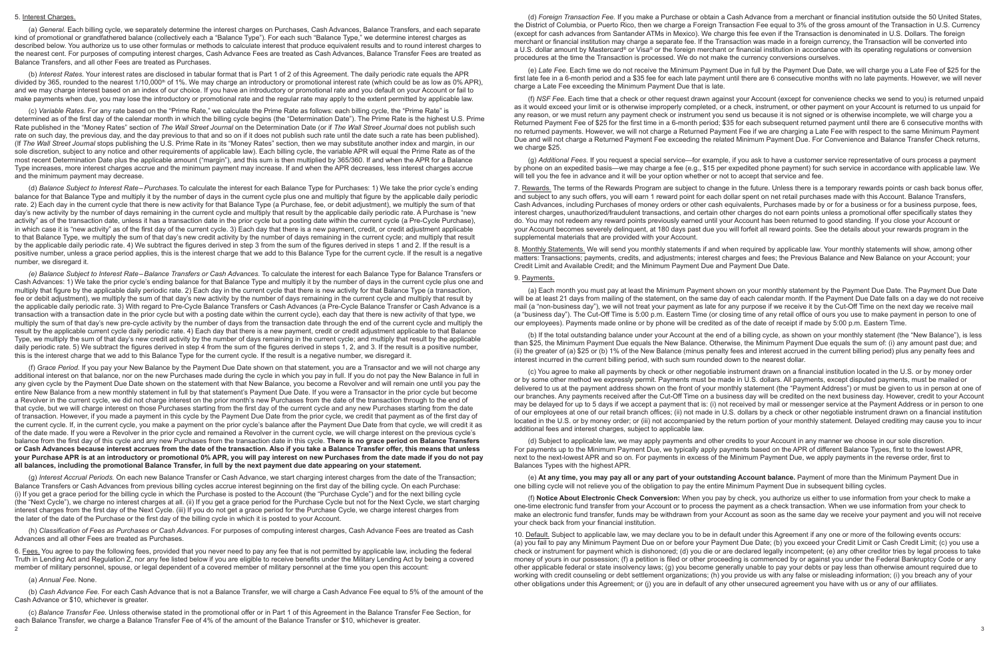### 5. Interest Charges.

(a) *General.* Each billing cycle, we separately determine the interest charges on Purchases, Cash Advances, Balance Transfers, and each separate kind of promotional or grandfathered balance (collectively each a "Balance Type"). For each such "Balance Type," we determine interest charges as described below. You authorize us to use other formulas or methods to calculate interest that produce equivalent results and to round interest charges to the nearest cent. For purposes of computing interest charges, Cash Advance Fees are treated as Cash Advances, Balance Transfer Fees are treated as Balance Transfers, and all other Fees are treated as Purchases.

(b) *Interest Rates.* Your interest rates are disclosed in tabular format that is Part 1 of 2 of this Agreement. The daily periodic rate equals the APR divided by 365, rounded to the nearest 1/10,000<sup>th</sup> of 1%. We may charge an introductory or promotional interest rate (which could be as low as 0% APR). and we may charge interest based on an index of our choice. If you have an introductory or promotional rate and you default on your Account or fail to make payments when due, you may lose the introductory or promotional rate and the regular rate may apply to the extent permitted by applicable law.

(c) *Variable Rates.* For any rate based on the "Prime Rate," we calculate the Prime Rate as follows: each billing cycle, the "Prime Rate" is determined as of the first day of the calendar month in which the billing cycle begins (the "Determination Date"). The Prime Rate is the highest U.S. Prime Rate published in the "Money Rates" section of *The Wall Street Journal* on the Determination Date (or if *The Wall Street Journal* does not publish such rate on such day, the previous day, and the day previous to that and so on if it does not publish such rate until the date such a rate has been published). (If *The Wall Street Journal* stops publishing the U.S. Prime Rate in its "Money Rates" section, then we may substitute another index and margin, in our sole discretion, subject to any notice and other requirements of applicable law). Each billing cycle, the variable APR will equal the Prime Rate as of the most recent Determination Date plus the applicable amount ("margin"), and this sum is then multiplied by 365/360. If and when the APR for a Balance Type increases, more interest charges accrue and the minimum payment may increase. If and when the APR decreases, less interest charges accrue and the minimum payment may decrease.

(d) *Balance Subject to Interest Rate–Purchases.*To calculate the interest for each Balance Type for Purchases: 1) We take the prior cycle's ending balance for that Balance Type and multiply it by the number of days in the current cycle plus one and multiply that figure by the applicable daily periodic rate. 2) Each day in the current cycle that there is new activity for that Balance Type (a Purchase, fee, or debit adjustment), we multiply the sum of that day's new activity by the number of days remaining in the current cycle and multiply that result by the applicable daily periodic rate. A Purchase is "new activity" as of the transaction date, unless it has a transaction date in the prior cycle but a posting date within the current cycle (a Pre-Cycle Purchase), in which case it is "new activity" as of the first day of the current cycle. 3) Each day that there is a new payment, credit, or credit adjustment applicable to that Balance Type, we multiply the sum of that day's new credit activity by the number of days remaining in the current cycle; and multiply that result by the applicable daily periodic rate. 4) We subtract the figures derived in step 3 from the sum of the figures derived in steps 1 and 2. If the result is a positive number, unless a grace period applies, this is the interest charge that we add to this Balance Type for the current cycle. If the result is a negative number, we disregard it.

2 3 (c) *Balance Transfer Fee.* Unless otherwise stated in the promotional offer or in Part 1 of this Agreement in the Balance Transfer Fee Section, for each Balance Transfer, we charge a Balance Transfer Fee of 4% of the amount of the Balance Transfer or \$10, whichever is greater.

*(e) Balance Subject to Interest Rate–Balance Transfers or Cash Advances.* To calculate the interest for each Balance Type for Balance Transfers or Cash Advances: 1) We take the prior cycle's ending balance for that Balance Type and multiply it by the number of days in the current cycle plus one and multiply that figure by the applicable daily periodic rate. 2) Each day in the current cycle that there is new activity for that Balance Type (a transaction, fee or debit adjustment), we multiply the sum of that day's new activity by the number of days remaining in the current cycle and multiply that result by the applicable daily periodic rate. 3) With regard to Pre-Cycle Balance Transfers or Cash Advances (a Pre-Cycle Balance Transfer or Cash Advance is a transaction with a transaction date in the prior cycle but with a posting date within the current cycle), each day that there is new activity of that type, we multiply the sum of that day's new pre-cycle activity by the number of days from the transaction date through the end of the current cycle and multiply the result by the applicable current cycle daily periodic rate. 4) Each day that there is a new payment, credit or credit adjustment applicable to that Balance Type, we multiply the sum of that day's new credit activity by the number of days remaining in the current cycle; and multiply that result by the applicable daily periodic rate. 5) We subtract the figures derived in step 4 from the sum of the figures derived in steps 1, 2, and 3. If the result is a positive number, this is the interest charge that we add to this Balance Type for the current cycle. If the result is a negative number, we disregard it.

7. Rewards. The terms of the Rewards Program are subject to change in the future. Unless there is a temporary rewards points or cash back bonus offer, and subject to any such offers, you will earn 1 reward point for each dollar spent on net retail purchases made with this Account. Balance Transfers, Cash Advances, including Purchases of money orders or other cash equivalents, Purchases made by or for a business or for a business purpose, fees, interest charges, unauthorized/fraudulent transactions, and certain other charges do not earn points unless a promotional offer specifically states they do. You may not redeem any reward points previously earned until your Account has been returned to good standing. If you close your Account or your Account becomes severely delinquent, at 180 days past due you will forfeit all reward points. See the details about your rewards program in the supplemental materials that are provided with your Account.

(f) *Grace Period.* If you pay your New Balance by the Payment Due Date shown on that statement, you are a Transactor and we will not charge any additional interest on that balance, nor on the new Purchases made during the cycle in which you pay in full. If you do not pay the New Balance in full in any given cycle by the Payment Due Date shown on the statement with that New Balance, you become a Revolver and will remain one until you pay the entire New Balance from a new monthly statement in full by that statement's Payment Due Date. If you were a Transactor in the prior cycle but become a Revolver in the current cycle, we did not charge interest on the prior month's new Purchases from the date of the transaction through to the end of that cycle, but we will charge interest on those Purchases starting from the first day of the current cycle and any new Purchases starting from the date of transaction. However, if you made a payment in this cycle by the Payment Due Date from the prior cycle, we credit that payment as of the first day of the current cycle. If, in the current cycle, you make a payment on the prior cycle's balance after the Payment Due Date from that cycle, we will credit it as of the date made. If you were a Revolver in the prior cycle and remained a Revolver in the current cycle, we will charge interest on the previous cycle's balance from the first day of this cycle and any new Purchases from the transaction date in this cycle. **There is no grace period on Balance Transfers or Cash Advances because interest accrues from the date of the transaction. Also if you take a Balance Transfer offer, this means that unless your Purchase APR is at an introductory or promotional 0% APR, you will pay interest on new Purchases from the date made if you do not pay all balances, including the promotional Balance Transfer, in full by the next payment due date appearing on your statement.**

(g) *Interest Accrual Periods.* On each new Balance Transfer or Cash Advance, we start charging interest charges from the date of the Transaction; Balance Transfers or Cash Advances from previous billing cycles accrue interest beginning on the first day of the billing cycle. On each Purchase: (i) If you get a grace period for the billing cycle in which the Purchase is posted to the Account (the "Purchase Cycle") and for the next billing cycle (the "Next Cycle"), we charge no interest charges at all. (ii) If you get a grace period for the Purchase Cycle but not for the Next Cycle, we start charging interest charges from the first day of the Next Cycle. (iii) If you do not get a grace period for the Purchase Cycle, we charge interest charges from the later of the date of the Purchase or the first day of the billing cycle in which it is posted to your Account.

(h) *Classification of Fees as Purchases or Cash Advances.* For purposes of computing interest charges, Cash Advance Fees are treated as Cash Advances and all other Fees are treated as Purchases.

6. Fees. You agree to pay the following fees, provided that you never need to pay any fee that is not permitted by applicable law, including the federal Truth in Lending Act and Regulation Z, nor any fee listed below if you are eligible to receive benefits under the Military Lending Act by being a covered member of military personnel, spouse, or legal dependent of a covered member of military personnel at the time you open this account:

### (a) *Annual Fee.* None.

(b) *Cash Advance Fee.* For each Cash Advance that is not a Balance Transfer, we will charge a Cash Advance Fee equal to 5% of the amount of the Cash Advance or \$10, whichever is greater.

(d) *Foreign Transaction Fee.* If you make a Purchase or obtain a Cash Advance from a merchant or financial institution outside the 50 United States, the District of Columbia, or Puerto Rico, then we charge a Foreign Transaction Fee equal to 3% of the gross amount of the Transaction in U.S. Currency (except for cash advances from Santander ATMs in Mexico). We charge this fee even if the Transaction is denominated in U.S. Dollars. The foreign merchant or financial institution may charge a separate fee. If the Transaction was made in a foreign currency, the Transaction will be converted into a U.S. dollar amount by Mastercard® or Visa® or the foreign merchant or financial institution in accordance with its operating regulations or conversion procedures at the time the Transaction is processed. We do not make the currency conversions ourselves.

(e) *Late Fee.* Each time we do not receive the Minimum Payment Due in full by the Payment Due Date, we will charge you a Late Fee of \$25 for the first late fee in a 6-month period and a \$35 fee for each late payment until there are 6 consecutive months with no late payments. However, we will never charge a Late Fee exceeding the Minimum Payment Due that is late.

(f) *NSF Fee.* Each time that a check or other request drawn against your Account (except for convenience checks we send to you) is returned unpaid as it would exceed your limit or is otherwise improperly completed, or a check, instrument, or other payment on your Account is returned to us unpaid for any reason, or we must return any payment check or instrument you send us because it is not signed or is otherwise incomplete, we will charge you a Returned Payment Fee of \$25 for the first time in a 6-month period; \$35 for each subsequent returned payment until there are 6 consecutive months with no returned payments. However, we will not charge a Returned Payment Fee if we are charging a Late Fee with respect to the same Minimum Payment Due and will not charge a Returned Payment Fee exceeding the related Minimum Payment Due. For Convenience and Balance Transfer Check returns, we charge \$25.

(g) *Additional Fees.* If you request a special service—for example, if you ask to have a customer service representative of ours process a payment by phone on an expedited basis—we may charge a fee (e.g., \$15 per expedited phone payment) for such service in accordance with applicable law. We will tell you the fee in advance and it will be your option whether or not to accept that service and fee.

8. Monthly Statements. We will send you monthly statements if and when required by applicable law. Your monthly statements will show, among other matters: Transactions; payments, credits, and adjustments; interest charges and fees; the Previous Balance and New Balance on your Account; your Credit Limit and Available Credit; and the Minimum Payment Due and Payment Due Date.

### 9. Payments.

(a) Each month you must pay at least the Minimum Payment shown on your monthly statement by the Payment Due Date. The Payment Due Date will be at least 21 days from mailing of the statement, on the same day of each calendar month. If the Payment Due Date falls on a day we do not receive mail (a "non-business day"), we will not treat your payment as late for any purpose if we receive it by the Cut-Off Time on the next day we receive mail (a "business day"). The Cut-Off Time is 5:00 p.m. Eastern Time (or closing time of any retail office of ours you use to make payment in person to one of our employees). Payments made online or by phone will be credited as of the date of receipt if made by 5:00 p.m. Eastern Time.

(b) If the total outstanding balance under your Account at the end of a billing cycle, as shown on your monthly statement (the "New Balance"), is less than \$25, the Minimum Payment Due equals the New Balance. Otherwise, the Minimum Payment Due equals the sum of: (i) any amount past due; and (ii) the greater of (a) \$25 or (b) 1% of the New Balance (minus penalty fees and interest accrued in the current billing period) plus any penalty fees and interest incurred in the current billing period, with such sum rounded down to the nearest dollar.

(c) You agree to make all payments by check or other negotiable instrument drawn on a financial institution located in the U.S. or by money order or by some other method we expressly permit. Payments must be made in U.S. dollars. All payments, except disputed payments, must be mailed or delivered to us at the payment address shown on the front of your monthly statement (the "Payment Address") or must be given to us in person at one of our branches. Any payments received after the Cut-Off Time on a business day will be credited on the next business day. However, credit to your Account may be delayed for up to 5 days if we accept a payment that is: (i) not received by mail or messenger service at the Payment Address or in person to one of our employees at one of our retail branch offices; (ii) not made in U.S. dollars by a check or other negotiable instrument drawn on a financial institution located in the U.S. or by money order; or (iii) not accompanied by the return portion of your monthly statement. Delayed crediting may cause you to incur additional fees and interest charges, subject to applicable law.

(d) Subject to applicable law, we may apply payments and other credits to your Account in any manner we choose in our sole discretion. For payments up to the Minimum Payment Due, we typically apply payments based on the APR of different Balance Types, first to the lowest APR, next to the next-lowest APR and so on. For payments in excess of the Minimum Payment Due, we apply payments in the reverse order, first to Balances Types with the highest APR.

(e) **At any time, you may pay all or any part of your outstanding Account balance.** Payment of more than the Minimum Payment Due in one billing cycle will not relieve you of the obligation to pay the entire Minimum Payment Due in subsequent billing cycles.

(f) **Notice About Electronic Check Conversion:** When you pay by check, you authorize us either to use information from your check to make a one-time electronic fund transfer from your Account or to process the payment as a check transaction. When we use information from your check to make an electronic fund transfer, funds may be withdrawn from your Account as soon as the same day we receive your payment and you will not receive your check back from your financial institution.

10. Default. Subject to applicable law, we may declare you to be in default under this Agreement if any one or more of the following events occurs: (a) you fail to pay any Minimum Payment Due on or before your Payment Due Date; (b) you exceed your Credit Limit or Cash Credit Limit; (c) you use a check or instrument for payment which is dishonored; (d) you die or are declared legally incompetent; (e) any other creditor tries by legal process to take money of yours in our possession; (f) a petition is filed or other proceeding is commenced by or against you under the Federal Bankruptcy Code or any other applicable federal or state insolvency laws; (g) you become generally unable to pay your debts or pay less than otherwise amount required due to working with credit counseling or debt settlement organizations; (h) you provide us with any false or misleading information; (i) you breach any of your other obligations under this Agreement; or (j) you are in default of any other unsecured agreement you have with us or any of our affiliates.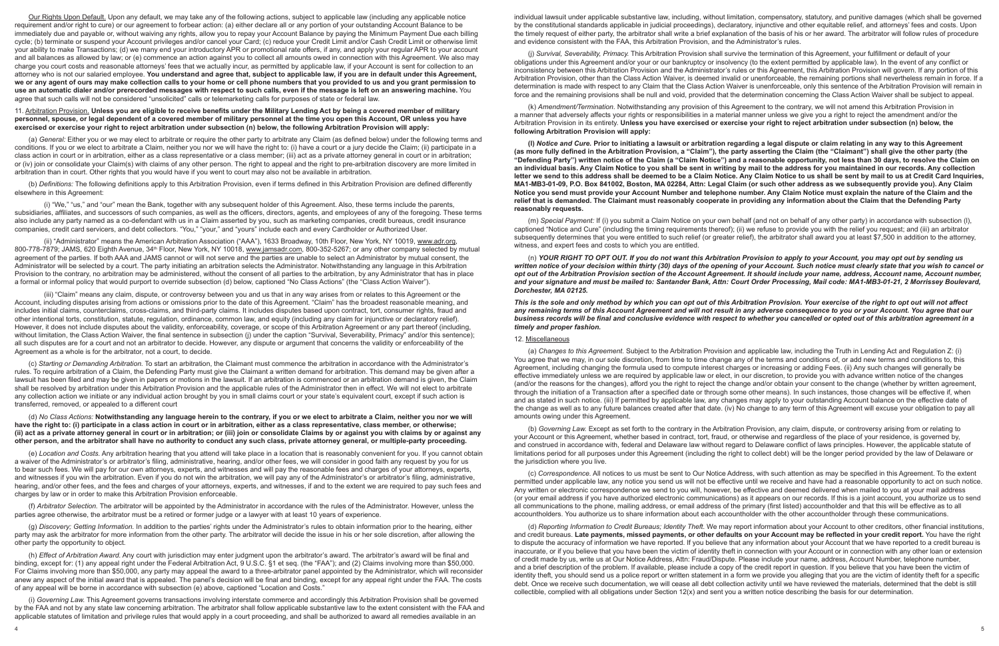Our Rights Upon Default. Upon any default, we may take any of the following actions, subject to applicable law (including any applicable notice requirement and/or right to cure) or our agreement to forbear action: (a) either declare all or any portion of your outstanding Account Balance to be immediately due and payable or, without waiving any rights, allow you to repay your Account Balance by paying the Minimum Payment Due each billing cycle; (b) terminate or suspend your Account privileges and/or cancel your Card; (c) reduce your Credit Limit and/or Cash Credit Limit or otherwise limit your ability to make Transactions; (d) we many end your introductory APR or promotional rate offers, if any, and apply your regular APR to your account and all balances as allowed by law; or (e) commence an action against you to collect all amounts owed in connection with this Agreement. We also may charge you court costs and reasonable attorneys' fees that we actually incur, as permitted by applicable law, if your Account is sent for collection to an attorney who is not our salaried employee. **You understand and agree that, subject to applicable law, if you are in default under this Agreement, we or any agent of ours may make collection calls to your home or cell phone numbers that you provided to us and you grant permission to use an automatic dialer and/or prerecorded messages with respect to such calls, even if the message is left on an answering machine.** You agree that such calls will not be considered "unsolicited" calls or telemarketing calls for purposes of state or federal law.

### 11. Arbitration Provision. **Unless you are eligible to receive benefits under the Military Lending Act by being a covered member of military personnel, spouse, or legal dependent of a covered member of military personnel at the time you open this Account, OR unless you have exercised or exercise your right to reject arbitration under subsection (n) below, the following Arbitration Provision will apply:**

(a) *General:* Either you or we may elect to arbitrate or require the other party to arbitrate any Claim (as defined below) under the following terms and conditions. If you or we elect to arbitrate a Claim, neither you nor we will have the right to: (i) have a court or a jury decide the Claim; (ii) participate in a class action in court or in arbitration, either as a class representative or a class member; (iii) act as a private attorney general in court or in arbitration; or (iv) join or consolidate your Claim(s) with claims of any other person. The right to appeal and the right to pre-arbitration discovery are more limited in arbitration than in court. Other rights that you would have if you went to court may also not be available in arbitration.

(b) *Definitions:* The following definitions apply to this Arbitration Provision, even if terms defined in this Arbitration Provision are defined differently elsewhere in this Agreement:

(i) "We," "us," and "our" mean the Bank, together with any subsequent holder of this Agreement. Also, these terms include the parents, subsidiaries, affiliates, and successors of such companies, as well as the officers, directors, agents, and employees of any of the foregoing. These terms also include any party named as a co-defendant with us in a Claim asserted by you, such as marketing companies, credit bureaus, credit insurance companies, credit card servicers, and debt collectors. "You," "your," and "yours" include each and every Cardholder or Authorized User.

(ii) "Administrator" means the American Arbitration Association ("AAA"), 1633 Broadway, 10th Floor, New York, NY 10019, www.adr.org, 800-778-7879; JAMS, 620 Eighth Avenue, 34th Floor, New York, NY 10018, www.jamsadr.com, 800-352-5267; or any other company selected by mutual agreement of the parties. If both AAA and JAMS cannot or will not serve and the parties are unable to select an Administrator by mutual consent, the Administrator will be selected by a court. The party initiating an arbitration selects the Administrator. Notwithstanding any language in this Arbitration Provision to the contrary, no arbitration may be administered, without the consent of all parties to the arbitration, by any Administrator that has in place a formal or informal policy that would purport to override subsection (d) below, captioned "No Class Actions" (the "Class Action Waiver").

(iii) "Claim" means any claim, dispute, or controversy between you and us that in any way arises from or relates to this Agreement or the Account, including disputes arising from actions or omissions prior to the date of this Agreement. "Claim" has the broadest reasonable meaning, and includes initial claims, counterclaims, cross-claims, and third-party claims. It includes disputes based upon contract, tort, consumer rights, fraud and other intentional torts, constitution, statute, regulation, ordinance, common law, and equity (including any claim for injunctive or declaratory relief). However, it does not include disputes about the validity, enforceability, coverage, or scope of this Arbitration Agreement or any part thereof (including, without limitation, the Class Action Waiver, the final sentence in subsection (j) under the caption "Survival, Severability, Primacy" and/or this sentence); all such disputes are for a court and not an arbitrator to decide. However, any dispute or argument that concerns the validity or enforceability of the Agreement as a whole is for the arbitrator, not a court, to decide.

(c) *Starting or Demanding Arbitration.* To start an arbitration, the Claimant must commence the arbitration in accordance with the Administrator's rules. To require arbitration of a Claim, the Defending Party must give the Claimant a written demand for arbitration. This demand may be given after a lawsuit has been filed and may be given in papers or motions in the lawsuit. If an arbitration is commenced or an arbitration demand is given, the Claim shall be resolved by arbitration under this Arbitration Provision and the applicable rules of the Administrator then in effect. We will not elect to arbitrate any collection action we initiate or any individual action brought by you in small claims court or your state's equivalent court, except if such action is transferred, removed, or appealed to a different court

(d) *No Class Actions:* **Notwithstanding any language herein to the contrary, if you or we elect to arbitrate a Claim, neither you nor we will have the right to: (i) participate in a class action in court or in arbitration, either as a class representative, class member, or otherwise; (ii) act as a private attorney general in court or in arbitration; or (iii) join or consolidate Claims by or against you with claims by or against any other person, and the arbitrator shall have no authority to conduct any such class, private attorney general, or multiple-party proceeding.** 

(e) *Location and Costs.* Any arbitration hearing that you attend will take place in a location that is reasonably convenient for you. If you cannot obtain a waiver of the Administrator's or arbitrator's filing, administrative, hearing, and/or other fees, we will consider in good faith any request by you for us to bear such fees. We will pay for our own attorneys, experts, and witnesses and will pay the reasonable fees and charges of your attorneys, experts, and witnesses if you win the arbitration. Even if you do not win the arbitration, we will pay any of the Administrator's or arbitrator's filing, administrative, hearing, and/or other fees, and the fees and charges of your attorneys, experts, and witnesses, if and to the extent we are required to pay such fees and charges by law or in order to make this Arbitration Provision enforceable.

(f) *Arbitrator Selection.* The arbitrator will be appointed by the Administrator in accordance with the rules of the Administrator. However, unless the parties agree otherwise, the arbitrator must be a retired or former judge or a lawyer with at least 10 years of experience.

(g) *Discovery; Getting Information.* In addition to the parties' rights under the Administrator's rules to obtain information prior to the hearing, either party may ask the arbitrator for more information from the other party. The arbitrator will decide the issue in his or her sole discretion, after allowing the other party the opportunity to object.

(h) *Effect of Arbitration Award.* Any court with jurisdiction may enter judgment upon the arbitrator's award. The arbitrator's award will be final and binding, except for: (1) any appeal right under the Federal Arbitration Act, 9 U.S.C. §1 et seq. (the "FAA"); and (2) Claims involving more than \$50,000. For Claims involving more than \$50,000, any party may appeal the award to a three-arbitrator panel appointed by the Administrator, which will reconsider anew any aspect of the initial award that is appealed. The panel's decision will be final and binding, except for any appeal right under the FAA. The costs of any appeal will be borne in accordance with subsection (e) above, captioned "Location and Costs."

(i) *Governing Law.* This Agreement governs transactions involving interstate commerce and accordingly this Arbitration Provision shall be governed by the FAA and not by any state law concerning arbitration. The arbitrator shall follow applicable substantive law to the extent consistent with the FAA and applicable statutes of limitation and privilege rules that would apply in a court proceeding, and shall be authorized to award all remedies available in an

individual lawsuit under applicable substantive law, including, without limitation, compensatory, statutory, and punitive damages (which shall be governed by the constitutional standards applicable in judicial proceedings), declaratory, injunctive and other equitable relief, and attorneys' fees and costs. Upon the timely request of either party, the arbitrator shall write a brief explanation of the basis of his or her award. The arbitrator will follow rules of procedure and evidence consistent with the FAA, this Arbitration Provision, and the Administrator's rules.

(j) *Survival, Severability, Primacy.* This Arbitration Provision shall survive the termination of this Agreement, your fulfillment or default of your obligations under this Agreement and/or your or our bankruptcy or insolvency (to the extent permitted by applicable law). In the event of any conflict or inconsistency between this Arbitration Provision and the Administrator's rules or this Agreement, this Arbitration Provision will govern. If any portion of this Arbitration Provision, other than the Class Action Waiver, is deemed invalid or unenforceable, the remaining portions shall nevertheless remain in force. If a determination is made with respect to any Claim that the Class Action Waiver is unenforceable, only this sentence of the Arbitration Provision will remain in force and the remaining provisions shall be null and void, provided that the determination concerning the Class Action Waiver shall be subject to appeal.

(k) *Amendment/Termination.* Notwithstanding any provision of this Agreement to the contrary, we will not amend this Arbitration Provision in a manner that adversely affects your rights or responsibilities in a material manner unless we give you a right to reject the amendment and/or the Arbitration Provision in its entirety. **Unless you have exercised or exercise your right to reject arbitration under subsection (n) below, the following Arbitration Provision will apply:**

**(l)** *Notice and Cure.* **Prior to initiating a lawsuit or arbitration regarding a legal dispute or claim relating in any way to this Agreement (as more fully defined in the Arbitration Provision, a "Claim"), the party asserting the Claim (the "Claimant") shall give the other party (the "Defending Party") written notice of the Claim (a "Claim Notice") and a reasonable opportunity, not less than 30 days, to resolve the Claim on an individual basis. Any Claim Notice to you shall be sent in writing by mail to the address for you maintained in our records. Any collection letter we send to this address shall be deemed to be a Claim Notice. Any Claim Notice to us shall be sent by mail to us at Credit Card Inquiries, MA1-MB3-01-09, P.O. Box 841002, Boston, MA 02284, Attn: Legal Claim (or such other address as we subsequently provide you). Any Claim Notice you send must provide your Account Number and telephone number. Any Claim Notice must explain the nature of the Claim and the relief that is demanded. The Claimant must reasonably cooperate in providing any information about the Claim that the Defending Party reasonably requests.** 

(m) *Special Payment:* If (i) you submit a Claim Notice on your own behalf (and not on behalf of any other party) in accordance with subsection (l), captioned "Notice and Cure" (including the timing requirements thereof); (ii) we refuse to provide you with the relief you request; and (iii) an arbitrator subsequently determines that you were entitled to such relief (or greater relief), the arbitrator shall award you at least \$7,500 in addition to the attorney, witness, and expert fees and costs to which you are entitled.

(n) *YOUR RIGHT TO OPT OUT. If you do not want this Arbitration Provision to apply to your Account, you may opt out by sending us written notice of your decision within thirty (30) days of the opening of your Account. Such notice must clearly state that you wish to cancel or opt out of the Arbitration Provision section of the Account Agreement. It should include your name, address, Account name, Account number, and your signature and must be mailed to: Santander Bank, Attn: Court Order Processing, Mail code: MA1-MB3-01-21, 2 Morrissey Boulevard, Dorchester, MA 02125.*

*This is the sole and only method by which you can opt out of this Arbitration Provision. Your exercise of the right to opt out will not affect any remaining terms of this Account Agreement and will not result in any adverse consequence to you or your Account. You agree that our business records will be final and conclusive evidence with respect to whether you cancelled or opted out of this arbitration agreement in a timely and proper fashion.*

### 12. Miscellaneous

(a) *Changes to this Agreement.* Subject to the Arbitration Provision and applicable law, including the Truth in Lending Act and Regulation Z: (i) You agree that we may, in our sole discretion, from time to time change any of the terms and conditions of, or add new terms and conditions to, this Agreement, including changing the formula used to compute interest charges or increasing or adding Fees. (ii) Any such changes will generally be effective immediately unless we are required by applicable law or elect, in our discretion, to provide you with advance written notice of the changes (and/or the reasons for the changes), afford you the right to reject the change and/or obtain your consent to the change (whether by written agreement, through the initiation of a Transaction after a specified date or through some other means). In such instances, those changes will be effective if, when and as stated in such notice. (iii) If permitted by applicable law, any changes may apply to your outstanding Account balance on the effective date of the change as well as to any future balances created after that date. (iv) No change to any term of this Agreement will excuse your obligation to pay all amounts owing under this Agreement.

(b) *Governing Law.* Except as set forth to the contrary in the Arbitration Provision, any claim, dispute, or controversy arising from or relating to your Account or this Agreement, whether based in contract, tort, fraud, or otherwise and regardless of the place of your residence, is governed by, and construed in accordance with, federal and Delaware law without regard to Delaware conflict of laws principles. However, the applicable statute of limitations period for all purposes under this Agreement (including the right to collect debt) will be the longer period provided by the law of Delaware or the jurisdiction where you live.

(c) *Correspondence.* All notices to us must be sent to Our Notice Address, with such attention as may be specified in this Agreement. To the extent permitted under applicable law, any notice you send us will not be effective until we receive and have had a reasonable opportunity to act on such notice. Any written or electronic correspondence we send to you will, however, be effective and deemed delivered when mailed to you at your mail address (or your email address if you have authorized electronic communications) as it appears on our records. If this is a joint account, you authorize us to send all communications to the phone, mailing address, or email address of the primary (first listed) accountholder and that this will be effective as to all accountholders. You authorize us to share information about each accountholder with the other accountholder through these communications.

(d) *Reporting Information to Credit Bureaus; Identity Theft.* We may report information about your Account to other creditors, other financial institutions, and credit bureaus. **Late payments, missed payments, or other defaults on your Account may be reflected in your credit report.** You have the right to dispute the accuracy of information we have reported. If you believe that any information about your Account that we have reported to a credit bureau is inaccurate, or if you believe that you have been the victim of identity theft in connection with your Account or in connection with any other loan or extension of credit made by us, write us at Our Notice Address, Attn: Fraud/Dispute. Please include your name, address, Account Number, telephone number, and a brief description of the problem. If available, please include a copy of the credit report in question. If you believe that you have been the victim of identity theft, you should send us a police report or written statement in a form we provide you alleging that you are the victim of identity theft for a specific debt. Once we receive such documentation, we will cease all debt collection activity until we have reviewed the materials, determined that the debt is still collectible, complied with all obligations under Section 12(x) and sent you a written notice describing the basis for our determination.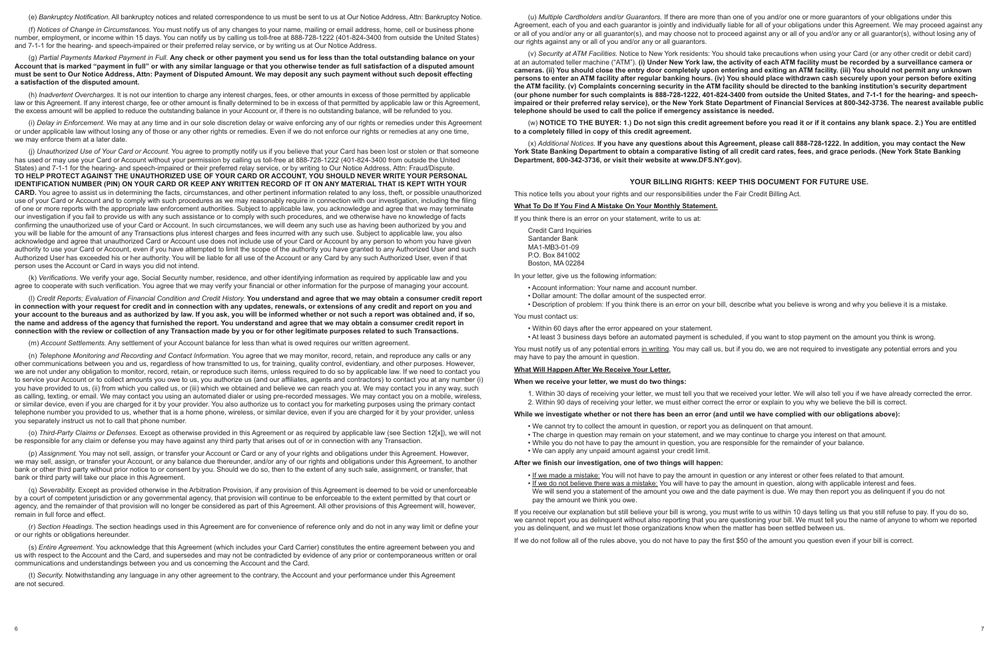(e) *Bankruptcy Notification.* All bankruptcy notices and related correspondence to us must be sent to us at Our Notice Address, Attn: Bankruptcy Notice.

(f) *Notices of Change in Circumstances.* You must notify us of any changes to your name, mailing or email address, home, cell or business phone number, employment, or income within 15 days. You can notify us by calling us toll-free at 888-728-1222 (401-824-3400 from outside the United States) and 7-1-1 for the hearing- and speech-impaired or their preferred relay service, or by writing us at Our Notice Address.

(g) *Partial Payments Marked Payment in Full.* **Any check or other payment you send us for less than the total outstanding balance on your Account that is marked "payment in full" or with any similar language or that you otherwise tender as full satisfaction of a disputed amount must be sent to Our Notice Address, Attn: Payment of Disputed Amount. We may deposit any such payment without such deposit effecting a satisfaction of the disputed amount.**

(h) *Inadvertent Overcharges.* It is not our intention to charge any interest charges, fees, or other amounts in excess of those permitted by applicable law or this Agreement. If any interest charge, fee or other amount is finally determined to be in excess of that permitted by applicable law or this Agreement, the excess amount will be applied to reduce the outstanding balance in your Account or, if there is no outstanding balance, will be refunded to you.

(i) *Delay in Enforcement.* We may at any time and in our sole discretion delay or waive enforcing any of our rights or remedies under this Agreement or under applicable law without losing any of those or any other rights or remedies. Even if we do not enforce our rights or remedies at any one time, we may enforce them at a later date.

(j) *Unauthorized Use of Your Card or Account.* You agree to promptly notify us if you believe that your Card has been lost or stolen or that someone has used or may use your Card or Account without your permission by calling us toll-free at 888-728-1222 (401-824-3400 from outside the United States) and 7-1-1 for the hearing- and speech-impaired or their preferred relay service, or by writing to Our Notice Address, Attn: Fraud/Dispute. **TO HELP PROTECT AGAINST THE UNAUTHORIZED USE OF YOUR CARD OR ACCOUNT, YOU SHOULD NEVER WRITE YOUR PERSONAL IDENTIFICATION NUMBER (PIN) ON YOUR CARD OR KEEP ANY WRITTEN RECORD OF IT ON ANY MATERIAL THAT IS KEPT WITH YOUR CARD.** You agree to assist us in determining the facts, circumstances, and other pertinent information related to any loss, theft, or possible unauthorized use of your Card or Account and to comply with such procedures as we may reasonably require in connection with our investigation, including the filing of one or more reports with the appropriate law enforcement authorities. Subject to applicable law, you acknowledge and agree that we may terminate our investigation if you fail to provide us with any such assistance or to comply with such procedures, and we otherwise have no knowledge of facts confirming the unauthorized use of your Card or Account. In such circumstances, we will deem any such use as having been authorized by you and you will be liable for the amount of any Transactions plus interest charges and fees incurred with any such use. Subject to applicable law, you also acknowledge and agree that unauthorized Card or Account use does not include use of your Card or Account by any person to whom you have given authority to use your Card or Account, even if you have attempted to limit the scope of the authority you have granted to any Authorized User and such Authorized User has exceeded his or her authority. You will be liable for all use of the Account or any Card by any such Authorized User, even if that person uses the Account or Card in ways you did not intend.

(k) *Verifications.* We verify your age, Social Security number, residence, and other identifying information as required by applicable law and you agree to cooperate with such verification. You agree that we may verify your financial or other information for the purpose of managing your account.

(l) *Credit Reports; Evaluation of Financial Condition and Credit History.* **You understand and agree that we may obtain a consumer credit report in connection with your request for credit and in connection with any updates, renewals, or extensions of any credit and report on you and your account to the bureaus and as authorized by law. If you ask, you will be informed whether or not such a report was obtained and, if so, the name and address of the agency that furnished the report. You understand and agree that we may obtain a consumer credit report in connection with the review or collection of any Transaction made by you or for other legitimate purposes related to such Transactions.** 

(m) *Account Settlements.* Any settlement of your Account balance for less than what is owed requires our written agreement.

(n) *Telephone Monitoring and Recording and Contact Information.* You agree that we may monitor, record, retain, and reproduce any calls or any other communications between you and us, regardless of how transmitted to us, for training, quality control, evidentiary, and other purposes. However, we are not under any obligation to monitor, record, retain, or reproduce such items, unless required to do so by applicable law. If we need to contact you to service your Account or to collect amounts you owe to us, you authorize us (and our affiliates, agents and contractors) to contact you at any number (i) you have provided to us, (ii) from which you called us, or (iii) which we obtained and believe we can reach you at. We may contact you in any way, such as calling, texting, or email. We may contact you using an automated dialer or using pre-recorded messages. We may contact you on a mobile, wireless, or similar device, even if you are charged for it by your provider. You also authorize us to contact you for marketing purposes using the primary contact telephone number you provided to us, whether that is a home phone, wireless, or similar device, even if you are charged for it by your provider, unless you separately instruct us not to call that phone number.

(o) *Third-Party Claims or Defenses.* Except as otherwise provided in this Agreement or as required by applicable law (see Section 12[x]), we will not be responsible for any claim or defense you may have against any third party that arises out of or in connection with any Transaction.

(p) *Assignment.* You may not sell, assign, or transfer your Account or Card or any of your rights and obligations under this Agreement. However, we may sell, assign, or transfer your Account, or any balance due thereunder, and/or any of our rights and obligations under this Agreement, to another bank or other third party without prior notice to or consent by you. Should we do so, then to the extent of any such sale, assignment, or transfer, that bank or third party will take our place in this Agreement.

(q) *Severability.* Except as provided otherwise in the Arbitration Provision, if any provision of this Agreement is deemed to be void or unenforceable by a court of competent jurisdiction or any governmental agency, that provision will continue to be enforceable to the extent permitted by that court or agency, and the remainder of that provision will no longer be considered as part of this Agreement. All other provisions of this Agreement will, however, remain in full force and effect.

(r) *Section Headings.* The section headings used in this Agreement are for convenience of reference only and do not in any way limit or define your or our rights or obligations hereunder.

(s) *Entire Agreement.* You acknowledge that this Agreement (which includes your Card Carrier) constitutes the entire agreement between you and us with respect to the Account and the Card, and supersedes and may not be contradicted by evidence of any prior or contemporaneous written or oral communications and understandings between you and us concerning the Account and the Card.

(t) *Security.* Notwithstanding any language in any other agreement to the contrary, the Account and your performance under this Agreement are not secured.

(u) *Multiple Cardholders and/or Guarantors.* If there are more than one of you and/or one or more guarantors of your obligations under this Agreement, each of you and each guarantor is jointly and individually liable for all of your obligations under this Agreement. We may proceed against any or all of you and/or any or all guarantor(s), and may choose not to proceed against any or all of you and/or any or all guarantor(s), without losing any of our rights against any or all of you and/or any or all guarantors.

(v) *Security at ATM Facilities.* Notice to New York residents: You should take precautions when using your Card (or any other credit or debit card) at an automated teller machine ("ATM"). **(i) Under New York law, the activity of each ATM facility must be recorded by a surveillance camera or cameras. (ii) You should close the entry door completely upon entering and exiting an ATM facility. (iii) You should not permit any unknown persons to enter an ATM facility after regular banking hours. (iv) You should place withdrawn cash securely upon your person before exiting the ATM facility. (v) Complaints concerning security in the ATM facility should be directed to the banking institution's security department (our phone number for such complaints is 888-728-1222, 401-824-3400 from outside the United States, and 7-1-1 for the hearing- and speechimpaired or their preferred relay service), or the New York State Department of Financial Services at 800-342-3736. The nearest available public telephone should be used to call the police if emergency assistance is needed.** 

(w) **NOTICE TO THE BUYER: 1.) Do not sign this credit agreement before you read it or if it contains any blank space. 2.) You are entitled to a completely filled in copy of this credit agreement.**

(x) *Additional Notices.* **If you have any questions about this Agreement, please call 888-728-1222. In addition, you may contact the New York State Banking Department to obtain a comparative listing of all credit card rates, fees, and grace periods. (New York State Banking Department, 800-342-3736, or visit their website at www.DFS.NY.gov).**

# **YOUR BILLING RIGHTS: KEEP THIS DOCUMENT FOR FUTURE USE.**

This notice tells you about your rights and our responsibilities under the Fair Credit Billing Act.

# **What To Do If You Find A Mistake On Your Monthly Statement.**

If you think there is an error on your statement, write to us at:

Credit Card Inquiries Santander Bank MA1-MB3-01-09 P.O. Box 841002 Boston, MA 02284

In your letter, give us the following information:

- Account information: Your name and account number.
- Dollar amount: The dollar amount of the suspected error.
- 

• Description of problem: If you think there is an error on your bill, describe what you believe is wrong and why you believe it is a mistake.

You must notify us of any potential errors in writing. You may call us, but if you do, we are not required to investigate any potential errors and you

#### You must contact us:

- Within 60 days after the error appeared on your statement.
- At least 3 business days before an automated payment is scheduled, if you want to stop payment on the amount you think is wrong.

may have to pay the amount in question.

#### **What Will Happen After We Receive Your Letter.**

# **When we receive your letter, we must do two things:**

- 
- 

1. Within 30 days of receiving your letter, we must tell you that we received your letter. We will also tell you if we have already corrected the error. 2. Within 90 days of receiving your letter, we must either correct the error or explain to you why we believe the bill is correct.

## **While we investigate whether or not there has been an error (and until we have complied with our obligations above):**

- We cannot try to collect the amount in question, or report you as delinquent on that amount.
- The charge in question may remain on your statement, and we may continue to charge you interest on that amount.
- While you do not have to pay the amount in question, you are responsible for the remainder of your balance. • We can apply any unpaid amount against your credit limit.

#### **After we finish our investigation, one of two things will happen:**

• If we made a mistake: You will not have to pay the amount in question or any interest or other fees related to that amount. • If we do not believe there was a mistake: You will have to pay the amount in question, along with applicable interest and fees. pay the amount we think you owe.

We will send you a statement of the amount you owe and the date payment is due. We may then report you as delinquent if you do not

If you receive our explanation but still believe your bill is wrong, you must write to us within 10 days telling us that you still refuse to pay. If you do so, we cannot report you as delinquent without also reporting that you are questioning your bill. We must tell you the name of anyone to whom we reported you as delinquent, and we must let those organizations know when the matter has been settled between us.

If we do not follow all of the rules above, you do not have to pay the first \$50 of the amount you question even if your bill is correct.